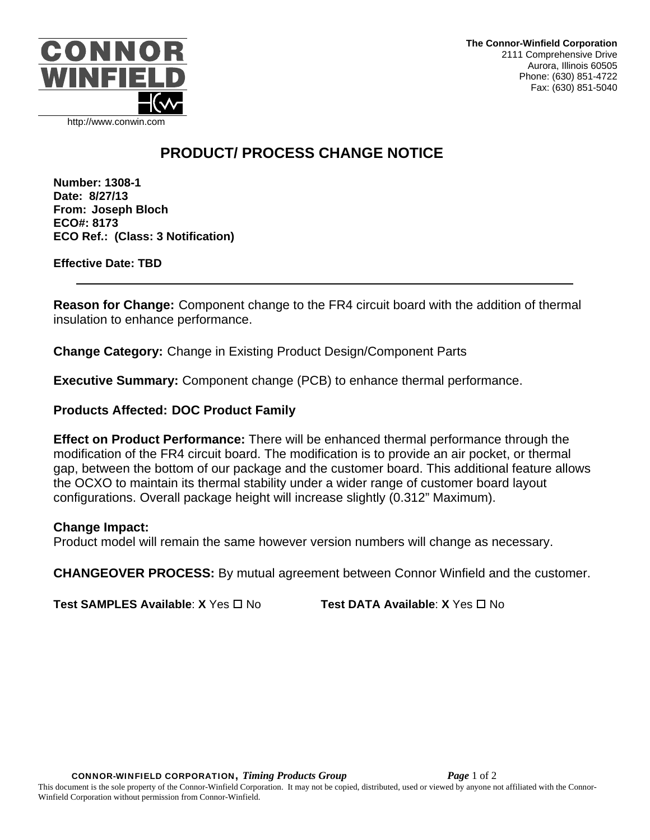

## **PRODUCT/ PROCESS CHANGE NOTICE**

**Number: 1308-1 Date: 8/27/13 From: Joseph Bloch ECO#: 8173 ECO Ref.: (Class: 3 Notification)**

**Effective Date: TBD**

**Reason for Change:** Component change to the FR4 circuit board with the addition of thermal insulation to enhance performance.

**Change Category:** Change in Existing Product Design/Component Parts

**Executive Summary:** Component change (PCB) to enhance thermal performance.

## **Products Affected: DOC Product Family**

**Effect on Product Performance:** There will be enhanced thermal performance through the modification of the FR4 circuit board. The modification is to provide an air pocket, or thermal gap, between the bottom of our package and the customer board. This additional feature allows the OCXO to maintain its thermal stability under a wider range of customer board layout configurations. Overall package height will increase slightly (0.312" Maximum).

## **Change Impact:**

Product model will remain the same however version numbers will change as necessary.

**CHANGEOVER PROCESS:** By mutual agreement between Connor Winfield and the customer.

**Test SAMPLES Available**: **X** Yes No **Test DATA Available**: **X** Yes No